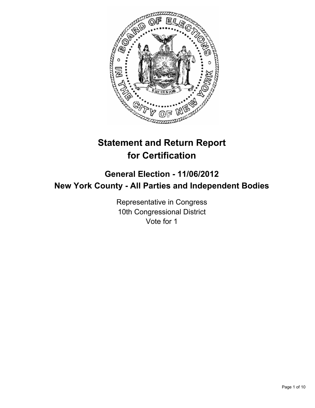

# **Statement and Return Report for Certification**

## **General Election - 11/06/2012 New York County - All Parties and Independent Bodies**

Representative in Congress 10th Congressional District Vote for 1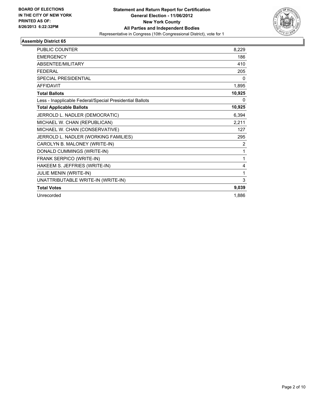

| <b>PUBLIC COUNTER</b>                                    | 8,229  |
|----------------------------------------------------------|--------|
| <b>EMERGENCY</b>                                         | 186    |
| ABSENTEE/MILITARY                                        | 410    |
| <b>FEDERAL</b>                                           | 205    |
| <b>SPECIAL PRESIDENTIAL</b>                              | 0      |
| <b>AFFIDAVIT</b>                                         | 1,895  |
| <b>Total Ballots</b>                                     | 10,925 |
| Less - Inapplicable Federal/Special Presidential Ballots | 0      |
| <b>Total Applicable Ballots</b>                          | 10,925 |
| JERROLD L. NADLER (DEMOCRATIC)                           | 6,394  |
| MICHAEL W. CHAN (REPUBLICAN)                             | 2,211  |
| MICHAEL W. CHAN (CONSERVATIVE)                           | 127    |
| JERROLD L. NADLER (WORKING FAMILIES)                     | 295    |
| CAROLYN B. MALONEY (WRITE-IN)                            | 2      |
| DONALD CUMMINGS (WRITE-IN)                               | 1      |
| FRANK SERPICO (WRITE-IN)                                 | 1      |
| HAKEEM S. JEFFRIES (WRITE-IN)                            | 4      |
| JULIE MENIN (WRITE-IN)                                   | 1      |
| UNATTRIBUTABLE WRITE-IN (WRITE-IN)                       | 3      |
| <b>Total Votes</b>                                       | 9,039  |
| Unrecorded                                               | 1,886  |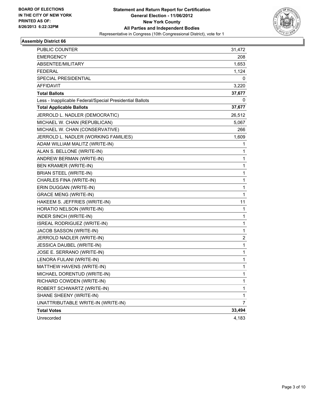

| <b>PUBLIC COUNTER</b>                                    | 31,472 |
|----------------------------------------------------------|--------|
| <b>EMERGENCY</b>                                         | 208    |
| ABSENTEE/MILITARY                                        | 1,653  |
| <b>FEDERAL</b>                                           | 1,124  |
| <b>SPECIAL PRESIDENTIAL</b>                              | 0      |
| AFFIDAVIT                                                | 3,220  |
| <b>Total Ballots</b>                                     | 37,677 |
| Less - Inapplicable Federal/Special Presidential Ballots | 0      |
| <b>Total Applicable Ballots</b>                          | 37,677 |
| JERROLD L. NADLER (DEMOCRATIC)                           | 26,512 |
| MICHAEL W. CHAN (REPUBLICAN)                             | 5,067  |
| MICHAEL W. CHAN (CONSERVATIVE)                           | 266    |
| JERROLD L. NADLER (WORKING FAMILIES)                     | 1,609  |
| ADAM WILLIAM MALITZ (WRITE-IN)                           | 1      |
| ALAN S. BELLONE (WRITE-IN)                               | 1      |
| ANDREW BERMAN (WRITE-IN)                                 | 1      |
| <b>BEN KRAMER (WRITE-IN)</b>                             | 1      |
| <b>BRIAN STEEL (WRITE-IN)</b>                            | 1      |
| CHARLES FINA (WRITE-IN)                                  | 1      |
| ERIN DUGGAN (WRITE-IN)                                   | 1      |
| <b>GRACE MENG (WRITE-IN)</b>                             | 1      |
| HAKEEM S. JEFFRIES (WRITE-IN)                            | 11     |
| HORATIO NELSON (WRITE-IN)                                | 1      |
| <b>INDER SINCH (WRITE-IN)</b>                            | 1      |
| ISREAL RODRIGUEZ (WRITE-IN)                              | 1      |
| JACOB SASSON (WRITE-IN)                                  | 1      |
| JERROLD NADLER (WRITE-IN)                                | 2      |
| JESSICA DAUBEL (WRITE-IN)                                | 1      |
| JOSE E. SERRANO (WRITE-IN)                               | 1      |
| LENORA FULANI (WRITE-IN)                                 | 1      |
| MATTHEW HAVENS (WRITE-IN)                                | 1      |
| MICHAEL DORENTUD (WRITE-IN)                              | 1      |
| RICHARD COWDEN (WRITE-IN)                                | 1      |
| ROBERT SCHWARTZ (WRITE-IN)                               | 1      |
| SHANE SHEENY (WRITE-IN)                                  | 1      |
| UNATTRIBUTABLE WRITE-IN (WRITE-IN)                       | 7      |
| <b>Total Votes</b>                                       | 33,494 |
| Unrecorded                                               | 4,183  |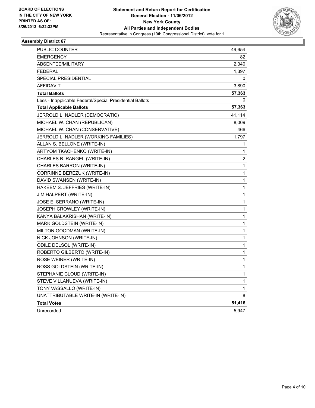

| PUBLIC COUNTER                                           | 49,654 |
|----------------------------------------------------------|--------|
| <b>EMERGENCY</b>                                         | 82     |
| <b>ABSENTEE/MILITARY</b>                                 | 2,340  |
| <b>FEDERAL</b>                                           | 1,397  |
| SPECIAL PRESIDENTIAL                                     | 0      |
| <b>AFFIDAVIT</b>                                         | 3,890  |
| <b>Total Ballots</b>                                     | 57,363 |
| Less - Inapplicable Federal/Special Presidential Ballots | 0      |
| <b>Total Applicable Ballots</b>                          | 57,363 |
| JERROLD L. NADLER (DEMOCRATIC)                           | 41,114 |
| MICHAEL W. CHAN (REPUBLICAN)                             | 8,009  |
| MICHAEL W. CHAN (CONSERVATIVE)                           | 466    |
| JERROLD L. NADLER (WORKING FAMILIES)                     | 1,797  |
| ALLAN S. BELLONE (WRITE-IN)                              | 1      |
| ARTYOM TKACHENKO (WRITE-IN)                              | 1      |
| CHARLES B. RANGEL (WRITE-IN)                             | 2      |
| CHARLES BARRON (WRITE-IN)                                | 1      |
| CORRINNE BEREZUK (WRITE-IN)                              | 1      |
| DAVID SWANSEN (WRITE-IN)                                 | 1      |
| HAKEEM S. JEFFRIES (WRITE-IN)                            | 1      |
| <b>JIM HALPERT (WRITE-IN)</b>                            | 1      |
| JOSE E. SERRANO (WRITE-IN)                               | 1      |
| JOSEPH CROWLEY (WRITE-IN)                                | 1      |
| KANYA BALAKRISHAN (WRITE-IN)                             | 1      |
| MARK GOLDSTEIN (WRITE-IN)                                | 1      |
| MILTON GOODMAN (WRITE-IN)                                | 1      |
| NICK JOHNSON (WRITE-IN)                                  | 1      |
| ODILE DELSOL (WRITE-IN)                                  | 1      |
| ROBERTO GILBERTO (WRITE-IN)                              | 1      |
| ROSE WEINER (WRITE-IN)                                   | 1      |
| ROSS GOLDSTEIN (WRITE-IN)                                | 1      |
| STEPHANIE CLOUD (WRITE-IN)                               | 1      |
| STEVE VILLANUEVA (WRITE-IN)                              | 1      |
| TONY VASSALLO (WRITE-IN)                                 | 1      |
| UNATTRIBUTABLE WRITE-IN (WRITE-IN)                       | 8      |
| <b>Total Votes</b>                                       | 51,416 |
| Unrecorded                                               | 5,947  |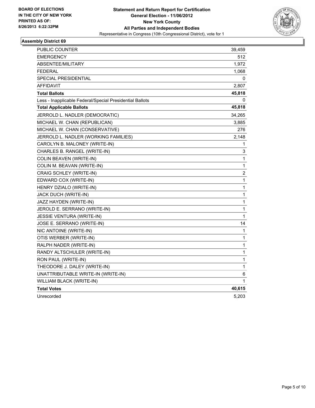

| PUBLIC COUNTER                                           | 39,459 |
|----------------------------------------------------------|--------|
| <b>EMERGENCY</b>                                         | 512    |
| <b>ABSENTEE/MILITARY</b>                                 | 1,972  |
| <b>FEDERAL</b>                                           | 1,068  |
| <b>SPECIAL PRESIDENTIAL</b>                              | 0      |
| AFFIDAVIT                                                | 2,807  |
| <b>Total Ballots</b>                                     | 45,818 |
| Less - Inapplicable Federal/Special Presidential Ballots | 0      |
| <b>Total Applicable Ballots</b>                          | 45,818 |
| JERROLD L. NADLER (DEMOCRATIC)                           | 34,265 |
| MICHAEL W. CHAN (REPUBLICAN)                             | 3,885  |
| MICHAEL W. CHAN (CONSERVATIVE)                           | 276    |
| JERROLD L. NADLER (WORKING FAMILIES)                     | 2,148  |
| CAROLYN B. MALONEY (WRITE-IN)                            | 1      |
| CHARLES B. RANGEL (WRITE-IN)                             | 3      |
| <b>COLIN BEAVEN (WRITE-IN)</b>                           | 1      |
| COLIN M. BEAVAN (WRITE-IN)                               | 1      |
| CRAIG SCHLEY (WRITE-IN)                                  | 2      |
| EDWARD COX (WRITE-IN)                                    | 1      |
| HENRY DZIALO (WRITE-IN)                                  | 1      |
| JACK DUCH (WRITE-IN)                                     | 1      |
| JAZZ HAYDEN (WRITE-IN)                                   | 1      |
| JEROLD E. SERRANO (WRITE-IN)                             | 1      |
| JESSIE VENTURA (WRITE-IN)                                | 1      |
| JOSE E. SERRANO (WRITE-IN)                               | 14     |
| NIC ANTOINE (WRITE-IN)                                   | 1      |
| OTIS WERBER (WRITE-IN)                                   | 1      |
| RALPH NADER (WRITE-IN)                                   | 1      |
| RANDY ALTSCHULER (WRITE-IN)                              | 1      |
| RON PAUL (WRITE-IN)                                      | 1      |
| THEODORE J. DALEY (WRITE-IN)                             | 1      |
| UNATTRIBUTABLE WRITE-IN (WRITE-IN)                       | 6      |
| WILLIAM BLACK (WRITE-IN)                                 | 1      |
| <b>Total Votes</b>                                       | 40,615 |
| Unrecorded                                               | 5,203  |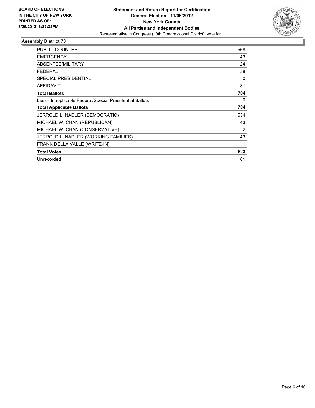

| <b>PUBLIC COUNTER</b>                                    | 568            |
|----------------------------------------------------------|----------------|
| <b>EMERGENCY</b>                                         | 43             |
| ABSENTEE/MILITARY                                        | 24             |
| <b>FEDERAL</b>                                           | 38             |
| <b>SPECIAL PRESIDENTIAL</b>                              | 0              |
| <b>AFFIDAVIT</b>                                         | 31             |
| <b>Total Ballots</b>                                     | 704            |
| Less - Inapplicable Federal/Special Presidential Ballots | 0              |
| <b>Total Applicable Ballots</b>                          | 704            |
| JERROLD L. NADLER (DEMOCRATIC)                           | 534            |
| MICHAEL W. CHAN (REPUBLICAN)                             | 43             |
| MICHAEL W. CHAN (CONSERVATIVE)                           | $\overline{2}$ |
| JERROLD L. NADLER (WORKING FAMILIES)                     | 43             |
| FRANK DELLA VALLE (WRITE-IN)                             | 1              |
| <b>Total Votes</b>                                       | 623            |
| Unrecorded                                               | 81             |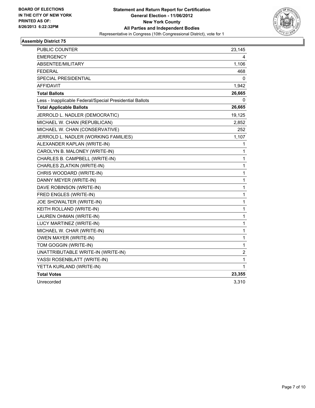

| <b>PUBLIC COUNTER</b>                                    | 23,145       |
|----------------------------------------------------------|--------------|
| <b>EMERGENCY</b>                                         | 4            |
| ABSENTEE/MILITARY                                        | 1,106        |
| <b>FEDERAL</b>                                           | 468          |
| <b>SPECIAL PRESIDENTIAL</b>                              | 0            |
| <b>AFFIDAVIT</b>                                         | 1,942        |
| <b>Total Ballots</b>                                     | 26,665       |
| Less - Inapplicable Federal/Special Presidential Ballots | 0            |
| <b>Total Applicable Ballots</b>                          | 26,665       |
| JERROLD L. NADLER (DEMOCRATIC)                           | 19,125       |
| MICHAEL W. CHAN (REPUBLICAN)                             | 2,852        |
| MICHAEL W. CHAN (CONSERVATIVE)                           | 252          |
| JERROLD L. NADLER (WORKING FAMILIES)                     | 1,107        |
| ALEXANDER KAPLAN (WRITE-IN)                              | 1            |
| CAROLYN B. MALONEY (WRITE-IN)                            | 1            |
| CHARLES B. CAMPBELL (WRITE-IN)                           | 1            |
| CHARLES ZLATKIN (WRITE-IN)                               | 1            |
| CHRIS WOODARD (WRITE-IN)                                 | 1            |
| DANNY MEYER (WRITE-IN)                                   | 1            |
| DAVE ROBINSON (WRITE-IN)                                 | $\mathbf{1}$ |
| FRED ENGLES (WRITE-IN)                                   | 1            |
| JOE SHOWALTER (WRITE-IN)                                 | 1            |
| KEITH ROLLAND (WRITE-IN)                                 | 1            |
| LAUREN OHMAN (WRITE-IN)                                  | $\mathbf{1}$ |
| LUCY MARTINEZ (WRITE-IN)                                 | 1            |
| MICHAEL W. CHAR (WRITE-IN)                               | 1            |
| <b>OWEN MAYER (WRITE-IN)</b>                             | 1            |
| TOM GOGGIN (WRITE-IN)                                    | 1            |
| UNATTRIBUTABLE WRITE-IN (WRITE-IN)                       | 2            |
| YASSI ROSENBLATT (WRITE-IN)                              | 1            |
| YETTA KURLAND (WRITE-IN)                                 | 1            |
| <b>Total Votes</b>                                       | 23,355       |
| Unrecorded                                               | 3,310        |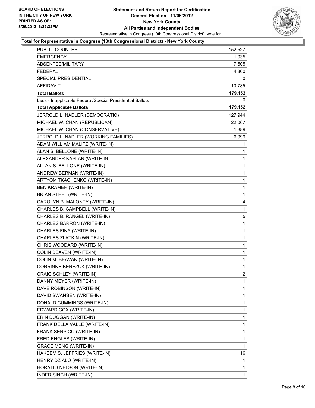

#### **Total for Representative in Congress (10th Congressional District) - New York County**

| PUBLIC COUNTER                                           | 152,527        |
|----------------------------------------------------------|----------------|
| <b>EMERGENCY</b>                                         | 1,035          |
| ABSENTEE/MILITARY                                        | 7,505          |
| <b>FEDERAL</b>                                           | 4,300          |
| SPECIAL PRESIDENTIAL                                     | 0              |
| <b>AFFIDAVIT</b>                                         | 13,785         |
| <b>Total Ballots</b>                                     | 179,152        |
| Less - Inapplicable Federal/Special Presidential Ballots | 0              |
| <b>Total Applicable Ballots</b>                          | 179,152        |
| JERROLD L. NADLER (DEMOCRATIC)                           | 127,944        |
| MICHAEL W. CHAN (REPUBLICAN)                             | 22,067         |
| MICHAEL W. CHAN (CONSERVATIVE)                           | 1,389          |
| JERROLD L. NADLER (WORKING FAMILIES)                     | 6,999          |
| ADAM WILLIAM MALITZ (WRITE-IN)                           | 1              |
| ALAN S. BELLONE (WRITE-IN)                               | 1              |
| ALEXANDER KAPLAN (WRITE-IN)                              | 1              |
| ALLAN S. BELLONE (WRITE-IN)                              | 1              |
| ANDREW BERMAN (WRITE-IN)                                 | 1              |
| ARTYOM TKACHENKO (WRITE-IN)                              | 1              |
| <b>BEN KRAMER (WRITE-IN)</b>                             | 1              |
| <b>BRIAN STEEL (WRITE-IN)</b>                            | 1              |
| CAROLYN B. MALONEY (WRITE-IN)                            | 4              |
| CHARLES B. CAMPBELL (WRITE-IN)                           | 1              |
| CHARLES B. RANGEL (WRITE-IN)                             | 5              |
| CHARLES BARRON (WRITE-IN)                                | 1              |
| CHARLES FINA (WRITE-IN)                                  | 1              |
| CHARLES ZLATKIN (WRITE-IN)                               | 1              |
| CHRIS WOODARD (WRITE-IN)                                 | 1              |
| COLIN BEAVEN (WRITE-IN)                                  | 1              |
| COLIN M. BEAVAN (WRITE-IN)                               | 1              |
| CORRINNE BEREZUK (WRITE-IN)                              | 1              |
| CRAIG SCHLEY (WRITE-IN)                                  | $\overline{2}$ |
| DANNY MEYER (WRITE-IN)                                   | 1              |
| DAVE ROBINSON (WRITE-IN)                                 | 1              |
| DAVID SWANSEN (WRITE-IN)                                 | 1              |
| DONALD CUMMINGS (WRITE-IN)                               | 1              |
| EDWARD COX (WRITE-IN)                                    | 1              |
| ERIN DUGGAN (WRITE-IN)                                   | 1              |
| FRANK DELLA VALLE (WRITE-IN)                             | 1              |
| FRANK SERPICO (WRITE-IN)                                 | 1              |
| FRED ENGLES (WRITE-IN)                                   | 1              |
| <b>GRACE MENG (WRITE-IN)</b>                             | 1              |
| HAKEEM S. JEFFRIES (WRITE-IN)                            | 16             |
| HENRY DZIALO (WRITE-IN)                                  | 1              |
| HORATIO NELSON (WRITE-IN)                                | 1              |
| INDER SINCH (WRITE-IN)                                   | 1              |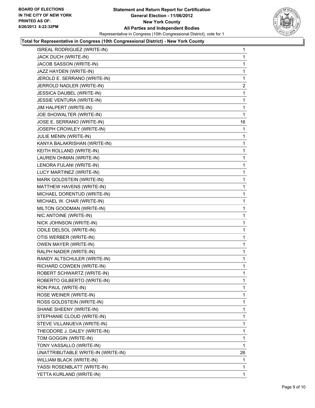

### **Total for Representative in Congress (10th Congressional District) - New York County**

| ISREAL RODRIGUEZ (WRITE-IN)        | 1            |
|------------------------------------|--------------|
| JACK DUCH (WRITE-IN)               | 1            |
| JACOB SASSON (WRITE-IN)            | 1            |
| JAZZ HAYDEN (WRITE-IN)             | 1            |
| JEROLD E. SERRANO (WRITE-IN)       | 1            |
| JERROLD NADLER (WRITE-IN)          | $\mathbf{2}$ |
| JESSICA DAUBEL (WRITE-IN)          | 1            |
| JESSIE VENTURA (WRITE-IN)          | 1            |
| JIM HALPERT (WRITE-IN)             | 1            |
| JOE SHOWALTER (WRITE-IN)           | 1            |
| JOSE E. SERRANO (WRITE-IN)         | 16           |
| JOSEPH CROWLEY (WRITE-IN)          | 1            |
| JULIE MENIN (WRITE-IN)             | 1            |
| KANYA BALAKRISHAN (WRITE-IN)       | 1            |
| KEITH ROLLAND (WRITE-IN)           | 1            |
| LAUREN OHMAN (WRITE-IN)            | 1            |
| LENORA FULANI (WRITE-IN)           | 1            |
| LUCY MARTINEZ (WRITE-IN)           | 1            |
| MARK GOLDSTEIN (WRITE-IN)          | 1            |
| MATTHEW HAVENS (WRITE-IN)          | 1            |
| MICHAEL DORENTUD (WRITE-IN)        | 1            |
| MICHAEL W. CHAR (WRITE-IN)         | 1            |
| MILTON GOODMAN (WRITE-IN)          | 1            |
| NIC ANTOINE (WRITE-IN)             | 1            |
| NICK JOHNSON (WRITE-IN)            | 1            |
| ODILE DELSOL (WRITE-IN)            | 1            |
| OTIS WERBER (WRITE-IN)             | 1            |
| <b>OWEN MAYER (WRITE-IN)</b>       | 1            |
| RALPH NADER (WRITE-IN)             | 1            |
| RANDY ALTSCHULER (WRITE-IN)        | 1            |
| RICHARD COWDEN (WRITE-IN)          | 1            |
| ROBERT SCHWARTZ (WRITE-IN)         | 1            |
| ROBERTO GILBERTO (WRITE-IN)        | 1            |
| RON PAUL (WRITE-IN)                | 1            |
| ROSE WEINER (WRITE-IN)             | 1            |
| ROSS GOLDSTEIN (WRITE-IN)          | 1            |
| SHANE SHEENY (WRITE-IN)            | 1            |
| STEPHANIE CLOUD (WRITE-IN)         | 1            |
| STEVE VILLANUEVA (WRITE-IN)        | 1            |
| THEODORE J. DALEY (WRITE-IN)       | 1            |
| TOM GOGGIN (WRITE-IN)              | 1            |
| TONY VASSALLO (WRITE-IN)           | 1            |
| UNATTRIBUTABLE WRITE-IN (WRITE-IN) | 26           |
| WILLIAM BLACK (WRITE-IN)           | 1            |
| YASSI ROSENBLATT (WRITE-IN)        | 1            |
| YETTA KURLAND (WRITE-IN)           | $\mathbf{1}$ |